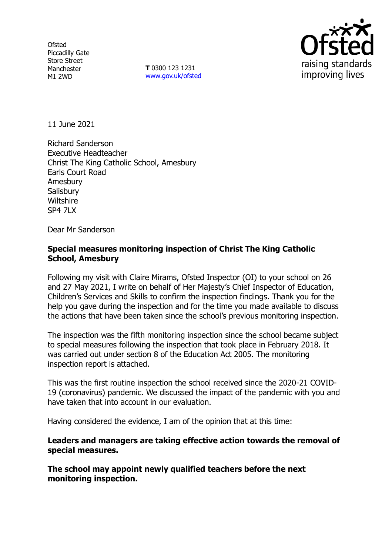**Ofsted** Piccadilly Gate Store Street Manchester M1 2WD

**T** 0300 123 1231 [www.gov.uk/ofsted](http://www.gov.uk/ofsted)



11 June 2021

Richard Sanderson Executive Headteacher Christ The King Catholic School, Amesbury Earls Court Road Amesbury **Salisbury Wiltshire** SP4 7LX

Dear Mr Sanderson

## **Special measures monitoring inspection of Christ The King Catholic School, Amesbury**

Following my visit with Claire Mirams, Ofsted Inspector (OI) to your school on 26 and 27 May 2021, I write on behalf of Her Majesty's Chief Inspector of Education, Children's Services and Skills to confirm the inspection findings. Thank you for the help you gave during the inspection and for the time you made available to discuss the actions that have been taken since the school's previous monitoring inspection.

The inspection was the fifth monitoring inspection since the school became subject to special measures following the inspection that took place in February 2018. It was carried out under section 8 of the Education Act 2005. The monitoring inspection report is attached.

This was the first routine inspection the school received since the 2020-21 COVID-19 (coronavirus) pandemic. We discussed the impact of the pandemic with you and have taken that into account in our evaluation.

Having considered the evidence, I am of the opinion that at this time:

**Leaders and managers are taking effective action towards the removal of special measures.**

**The school may appoint newly qualified teachers before the next monitoring inspection.**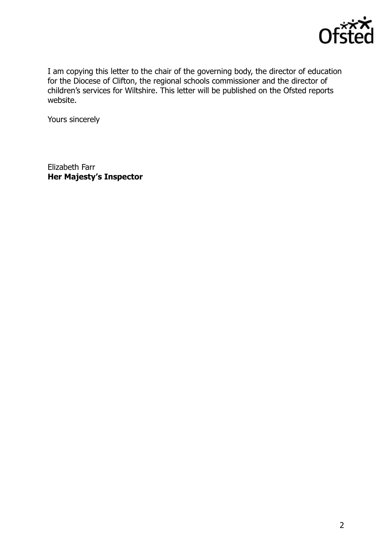

I am copying this letter to the chair of the governing body, the director of education for the Diocese of Clifton, the regional schools commissioner and the director of children's services for Wiltshire. This letter will be published on the Ofsted reports website.

Yours sincerely

Elizabeth Farr **Her Majesty's Inspector**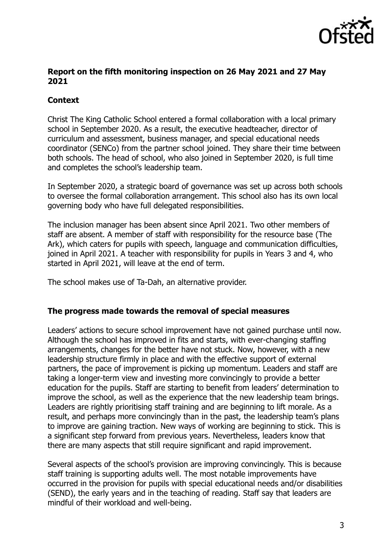

### **Report on the fifth monitoring inspection on 26 May 2021 and 27 May 2021**

# **Context**

Christ The King Catholic School entered a formal collaboration with a local primary school in September 2020. As a result, the executive headteacher, director of curriculum and assessment, business manager, and special educational needs coordinator (SENCo) from the partner school joined. They share their time between both schools. The head of school, who also joined in September 2020, is full time and completes the school's leadership team.

In September 2020, a strategic board of governance was set up across both schools to oversee the formal collaboration arrangement. This school also has its own local governing body who have full delegated responsibilities.

The inclusion manager has been absent since April 2021. Two other members of staff are absent. A member of staff with responsibility for the resource base (The Ark), which caters for pupils with speech, language and communication difficulties, joined in April 2021. A teacher with responsibility for pupils in Years 3 and 4, who started in April 2021, will leave at the end of term.

The school makes use of Ta-Dah, an alternative provider.

#### **The progress made towards the removal of special measures**

Leaders' actions to secure school improvement have not gained purchase until now. Although the school has improved in fits and starts, with ever-changing staffing arrangements, changes for the better have not stuck. Now, however, with a new leadership structure firmly in place and with the effective support of external partners, the pace of improvement is picking up momentum. Leaders and staff are taking a longer-term view and investing more convincingly to provide a better education for the pupils. Staff are starting to benefit from leaders' determination to improve the school, as well as the experience that the new leadership team brings. Leaders are rightly prioritising staff training and are beginning to lift morale. As a result, and perhaps more convincingly than in the past, the leadership team's plans to improve are gaining traction. New ways of working are beginning to stick. This is a significant step forward from previous years. Nevertheless, leaders know that there are many aspects that still require significant and rapid improvement.

Several aspects of the school's provision are improving convincingly. This is because staff training is supporting adults well. The most notable improvements have occurred in the provision for pupils with special educational needs and/or disabilities (SEND), the early years and in the teaching of reading. Staff say that leaders are mindful of their workload and well-being.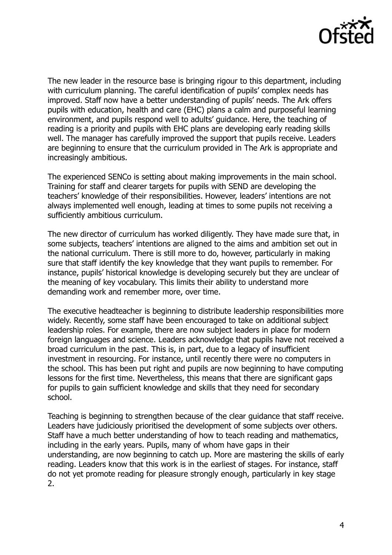

The new leader in the resource base is bringing rigour to this department, including with curriculum planning. The careful identification of pupils' complex needs has improved. Staff now have a better understanding of pupils' needs. The Ark offers pupils with education, health and care (EHC) plans a calm and purposeful learning environment, and pupils respond well to adults' guidance. Here, the teaching of reading is a priority and pupils with EHC plans are developing early reading skills well. The manager has carefully improved the support that pupils receive. Leaders are beginning to ensure that the curriculum provided in The Ark is appropriate and increasingly ambitious.

The experienced SENCo is setting about making improvements in the main school. Training for staff and clearer targets for pupils with SEND are developing the teachers' knowledge of their responsibilities. However, leaders' intentions are not always implemented well enough, leading at times to some pupils not receiving a sufficiently ambitious curriculum.

The new director of curriculum has worked diligently. They have made sure that, in some subjects, teachers' intentions are aligned to the aims and ambition set out in the national curriculum. There is still more to do, however, particularly in making sure that staff identify the key knowledge that they want pupils to remember. For instance, pupils' historical knowledge is developing securely but they are unclear of the meaning of key vocabulary. This limits their ability to understand more demanding work and remember more, over time.

The executive headteacher is beginning to distribute leadership responsibilities more widely. Recently, some staff have been encouraged to take on additional subject leadership roles. For example, there are now subject leaders in place for modern foreign languages and science. Leaders acknowledge that pupils have not received a broad curriculum in the past. This is, in part, due to a legacy of insufficient investment in resourcing. For instance, until recently there were no computers in the school. This has been put right and pupils are now beginning to have computing lessons for the first time. Nevertheless, this means that there are significant gaps for pupils to gain sufficient knowledge and skills that they need for secondary school.

Teaching is beginning to strengthen because of the clear guidance that staff receive. Leaders have judiciously prioritised the development of some subjects over others. Staff have a much better understanding of how to teach reading and mathematics, including in the early years. Pupils, many of whom have gaps in their understanding, are now beginning to catch up. More are mastering the skills of early reading. Leaders know that this work is in the earliest of stages. For instance, staff do not yet promote reading for pleasure strongly enough, particularly in key stage 2.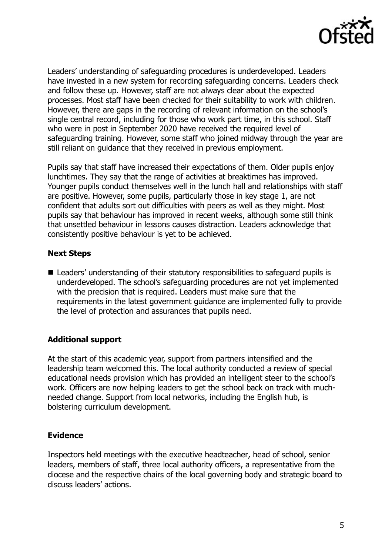

Leaders' understanding of safeguarding procedures is underdeveloped. Leaders have invested in a new system for recording safeguarding concerns. Leaders check and follow these up. However, staff are not always clear about the expected processes. Most staff have been checked for their suitability to work with children. However, there are gaps in the recording of relevant information on the school's single central record, including for those who work part time, in this school. Staff who were in post in September 2020 have received the required level of safeguarding training. However, some staff who joined midway through the year are still reliant on guidance that they received in previous employment.

Pupils say that staff have increased their expectations of them. Older pupils enjoy lunchtimes. They say that the range of activities at breaktimes has improved. Younger pupils conduct themselves well in the lunch hall and relationships with staff are positive. However, some pupils, particularly those in key stage 1, are not confident that adults sort out difficulties with peers as well as they might. Most pupils say that behaviour has improved in recent weeks, although some still think that unsettled behaviour in lessons causes distraction. Leaders acknowledge that consistently positive behaviour is yet to be achieved.

### **Next Steps**

■ Leaders' understanding of their statutory responsibilities to safeguard pupils is underdeveloped. The school's safeguarding procedures are not yet implemented with the precision that is required. Leaders must make sure that the requirements in the latest government guidance are implemented fully to provide the level of protection and assurances that pupils need.

### **Additional support**

At the start of this academic year, support from partners intensified and the leadership team welcomed this. The local authority conducted a review of special educational needs provision which has provided an intelligent steer to the school's work. Officers are now helping leaders to get the school back on track with muchneeded change. Support from local networks, including the English hub, is bolstering curriculum development.

### **Evidence**

Inspectors held meetings with the executive headteacher, head of school, senior leaders, members of staff, three local authority officers, a representative from the diocese and the respective chairs of the local governing body and strategic board to discuss leaders' actions.